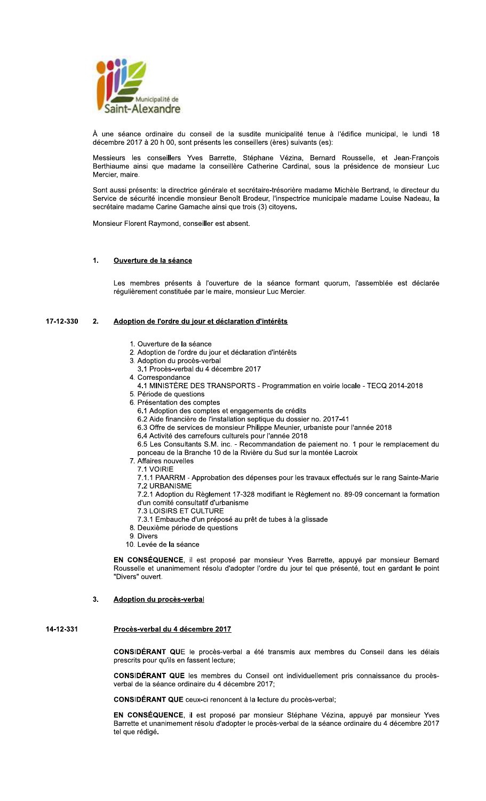

À une séance ordinaire du conseil de la susdite municipalité tenue à l'édifice municipal, le lundi 18 décembre 2017 à 20 h 00, sont présents les conseillers (ères) suivants (es):

Messieurs les conseillers Yves Barrette, Stéphane Vézina, Bernard Rousselle, et Jean-François Berthiaume ainsi que madame la conseillère Catherine Cardinal, sous la présidence de monsieur Luc Mercier, maire.

Sont aussi présents: la directrice générale et secrétaire-trésorière madame Michèle Bertrand, le directeur du Service de sécurité incendie monsieur Benoît Brodeur, l'inspectrice municipale madame Louise Nadeau, la secrétaire madame Carine Gamache ainsi que trois (3) citoyens.

Monsieur Florent Raymond, conseiller est absent.

#### $\mathbf{1}$ Ouverture de la séance

Les membres présents à l'ouverture de la séance formant quorum, l'assemblée est déclarée régulièrement constituée par le maire, monsieur Luc Mercier.

#### 17-12-330  $2.$ Adoption de l'ordre du jour et déclaration d'intérêts

- 1. Ouverture de la séance
- 2. Adoption de l'ordre du jour et déclaration d'intérêts
- 3. Adoption du procès-verbal
- 3.1 Procès-verbal du 4 décembre 2017
- 4. Correspondance
- 4.1 MINISTÈRE DES TRANSPORTS Programmation en voirie locale TECQ 2014-2018
- 5. Période de questions
- 6. Présentation des comptes
	- 6.1 Adoption des comptes et engagements de crédits
	- 6.2 Aide financière de l'installation septique du dossier no. 2017-41
	- 6.3 Offre de services de monsieur Philippe Meunier, urbaniste pour l'année 2018
	- 6.4 Activité des carrefours culturels pour l'année 2018
	- 6.5 Les Consultants S.M. inc. Recommandation de paiement no. 1 pour le remplacement du
	- ponceau de la Branche 10 de la Rivière du Sud sur la montée Lacroix
- 7. Affaires nouvelles
	- 7.1 VOIRIE

7.1.1 PAARRM - Approbation des dépenses pour les travaux effectués sur le rang Sainte-Marie 7.2 URBANISME

- 7.2.1 Adoption du Règlement 17-328 modifiant le Règlement no. 89-09 concernant la formation d'un comité consultatif d'urbanisme
- 7.3 LOISIRS ET CULTURE
- 7.3.1 Embauche d'un préposé au prêt de tubes à la glissade
- 8. Deuxième période de questions
- 9. Divers
- 10. Levée de la séance

EN CONSÉQUENCE, il est proposé par monsieur Yves Barrette, appuyé par monsieur Bernard Rousselle et unanimement résolu d'adopter l'ordre du jour tel que présenté, tout en gardant le point "Divers" ouvert.

#### $3<sub>1</sub>$ Adoption du procès-verbal

#### 14-12-331 Procès-verbal du 4 décembre 2017

CONSIDÉRANT QUE le procès-verbal a été transmis aux membres du Conseil dans les délais prescrits pour qu'ils en fassent lecture;

CONSIDÉRANT QUE les membres du Conseil ont individuellement pris connaissance du procèsverbal de la séance ordinaire du 4 décembre 2017;

**CONSIDÉRANT QUE** ceux-ci renoncent à la lecture du procès-verbal;

EN CONSÉQUENCE, il est proposé par monsieur Stéphane Vézina, appuyé par monsieur Yves Barrette et unanimement résolu d'adopter le procès-verbal de la séance ordinaire du 4 décembre 2017 tel que rédigé.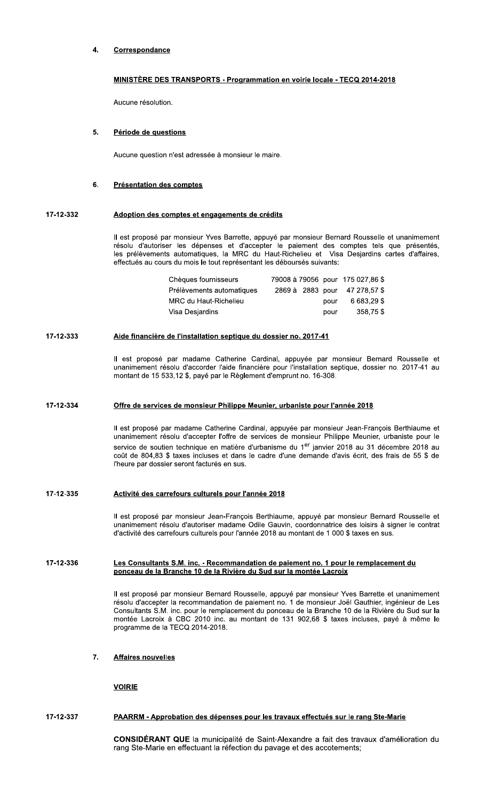### $\blacktriangle$ **Correspondance**

# MINISTÈRE DES TRANSPORTS - Programmation en voirie locale - TECQ 2014-2018

Aucune résolution.

#### 5. Période de questions

Aucune question n'est adressée à monsieur le maire.

### $6.$ **Présentation des comptes**

### 17-12-332 Adoption des comptes et engagements de crédits

Il est proposé par monsieur Yves Barrette, appuyé par monsieur Bernard Rousselle et unanimement résolu d'autoriser les dépenses et d'accepter le paiement des comptes tels que présentés, les prélèvements automatiques, la MRC du Haut-Richelieu et Visa Desjardins cartes d'affaires, effectués au cours du mois le tout représentant les déboursés suivants:

| Chèques fournisseurs      |  |      | 79008 à 79056 pour 175 027,86 \$ |
|---------------------------|--|------|----------------------------------|
| Prélèvements automatiques |  |      | 2869 à 2883 pour 47 278.57 \$    |
| MRC du Haut-Richelieu     |  | pour | 6 683.29 \$                      |
| Visa Desiardins           |  | pour | 358,75\$                         |

### 17-12-333 Aide financière de l'installation septique du dossier no. 2017-41

Il est proposé par madame Catherine Cardinal, appuyée par monsieur Bernard Rousselle et unanimement résolu d'accorder l'aide financière pour l'installation septique, dossier no. 2017-41 au montant de 15 533,12 \$, payé par le Règlement d'emprunt no. 16-308.

#### 17-12-334 Offre de services de monsieur Philippe Meunier, urbaniste pour l'année 2018

Il est proposé par madame Catherine Cardinal, appuyée par monsieur Jean-François Berthiaume et unanimement résolu d'accepter l'offre de services de monsieur Philippe Meunier, urbaniste pour le service de soutien technique en matière d'urbanisme du 1<sup>er</sup> janvier 2018 au 31 décembre 2018 au coût de 804,83 \$ taxes incluses et dans le cadre d'une demande d'avis écrit, des frais de 55 \$ de l'heure par dossier seront facturés en sus.

#### 17-12-335 Activité des carrefours culturels pour l'année 2018

Il est proposé par monsieur Jean-François Berthiaume, appuyé par monsieur Bernard Rousselle et unanimement résolu d'autoriser madame Odile Gauvin, coordonnatrice des loisirs à signer le contrat d'activité des carrefours culturels pour l'année 2018 au montant de 1 000 \$ taxes en sus.

### 17-12-336 Les Consultants S.M. inc. - Recommandation de paiement no. 1 pour le remplacement du ponceau de la Branche 10 de la Rivière du Sud sur la montée Lacroix

Il est proposé par monsieur Bernard Rousselle, appuyé par monsieur Yves Barrette et unanimement résolu d'accepter la recommandation de paiement no. 1 de monsieur Joël Gauthier, ingénieur de Les Consultants S.M. inc. pour le remplacement du ponceau de la Branche 10 de la Rivière du Sud sur la montée Lacroix à CBC 2010 inc. au montant de 131 902,68 \$ taxes incluses, payé à même le programme de la TECQ 2014-2018.

### $\overline{7}$ . **Affaires nouvelles**

**VOIRIE** 

#### 17-12-337 PAARRM - Approbation des dépenses pour les travaux effectués sur le rang Ste-Marie

CONSIDÉRANT QUE la municipalité de Saint-Alexandre a fait des travaux d'amélioration du rang Ste-Marie en effectuant la réfection du pavage et des accotements;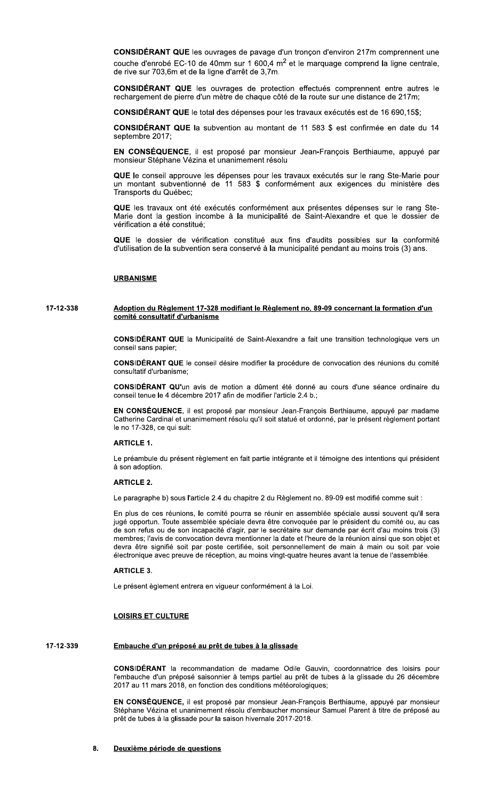CONSIDÉRANT QUE les ouvrages de pavage d'un tronçon d'environ 217m comprennent une couche d'enrobé EC-10 de 40mm sur 1 600,4 m<sup>2</sup> et le marquage comprend la ligne centrale, de rive sur 703,6m et de la ligne d'arrêt de 3,7m.

CONSIDÉRANT QUE les ouvrages de protection effectués comprennent entre autres le rechargement de pierre d'un mètre de chaque côté de la route sur une distance de 217m;

CONSIDÉRANT QUE le total des dépenses pour les travaux exécutés est de 16 690,15\$;

CONSIDÉRANT QUE la subvention au montant de 11 583 \$ est confirmée en date du 14 septembre 2017:

EN CONSÉQUENCE, il est proposé par monsieur Jean-François Berthiaume, appuyé par monsieur Stéphane Vézina et unanimement résolu

QUE le conseil approuve les dépenses pour les travaux exécutés sur le rang Ste-Marie pour un montant subventionné de 11 583 \$ conformément aux exigences du ministère des Transports du Québec:

QUE les travaux ont été exécutés conformément aux présentes dépenses sur le rang Ste-Marie dont la gestion incombe à la municipalité de Saint-Alexandre et que le dossier de vérification a été constitué:

QUE le dossier de vérification constitué aux fins d'audits possibles sur la conformité d'utilisation de la subvention sera conservé à la municipalité pendant au moins trois (3) ans.

## **URBANISME**

### 17-12-338 Adoption du Règlement 17-328 modifiant le Règlement no. 89-09 concernant la formation d'un comité consultatif d'urbanisme

CONSIDÉRANT QUE la Municipalité de Saint-Alexandre a fait une transition technologique vers un conseil sans papier;

CONSIDÉRANT QUE le conseil désire modifier la procédure de convocation des réunions du comité consultatif d'urbanisme:

CONSIDÉRANT QU'un avis de motion a dûment été donné au cours d'une séance ordinaire du conseil tenue le 4 décembre 2017 afin de modifier l'article 2.4 b.;

EN CONSÉQUENCE, il est proposé par monsieur Jean-François Berthiaume, appuyé par madame Catherine Cardinal et unanimement résolu qu'il soit statué et ordonné, par le présent règlement portant le no 17-328, ce qui suit:

## **ARTICLE 1.**

Le préambule du présent règlement en fait partie intégrante et il témoigne des intentions qui président à son adoption.

### **ARTICLE 2.**

Le paragraphe b) sous l'article 2.4 du chapitre 2 du Règlement no. 89-09 est modifié comme suit :

En plus de ces réunions, le comité pourra se réunir en assemblée spéciale aussi souvent qu'il sera jugé opportun. Toute assemblée spéciale devra être convoquée par le président du comité ou, au cas de son refus ou de son incapacité d'agir, par le secrétaire sur demande par écrit d'au moins trois (3) membres; l'avis de convocation devra mentionner la date et l'heure de la réunion ainsi que son objet et devra être signifié soit par poste certifiée, soit personnellement de main à main ou soit par voie électronique avec preuve de réception, au moins vingt-quatre heures avant la tenue de l'assemblée.

### **ARTICLE 3.**

Le présent èglement entrera en vigueur conformément à la Loi.

## **LOISIRS ET CULTURE**

#### 17-12-339 Embauche d'un préposé au prêt de tubes à la glissade

CONSIDÉRANT la recommandation de madame Odile Gauvin, coordonnatrice des loisirs pour l'embauche d'un préposé saisonnier à temps partiel au prêt de tubes à la glissade du 26 décembre 2017 au 11 mars 2018, en fonction des conditions météorologiques;

EN CONSÉQUENCE, il est proposé par monsieur Jean-François Berthiaume, appuyé par monsieur Stéphane Vézina et unanimement résolu d'embaucher monsieur Samuel Parent à titre de préposé au prêt de tubes à la glissade pour la saison hivernale 2017-2018.

8. Deuxième période de questions